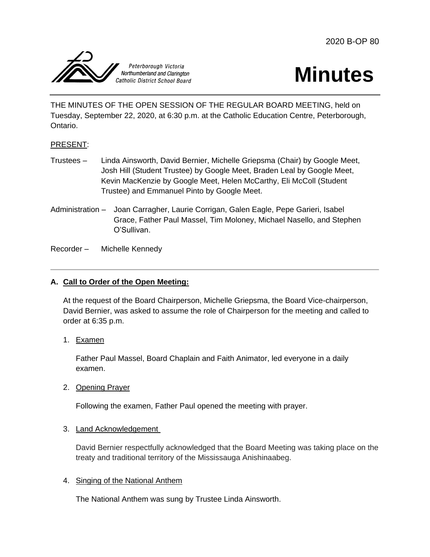



THE MINUTES OF THE OPEN SESSION OF THE REGULAR BOARD MEETING, held on Tuesday, September 22, 2020, at 6:30 p.m. at the Catholic Education Centre, Peterborough, Ontario.

## PRESENT:

- Trustees Linda Ainsworth, David Bernier, Michelle Griepsma (Chair) by Google Meet, Josh Hill (Student Trustee) by Google Meet, Braden Leal by Google Meet, Kevin MacKenzie by Google Meet, Helen McCarthy, Eli McColl (Student Trustee) and Emmanuel Pinto by Google Meet.
- Administration Joan Carragher, Laurie Corrigan, Galen Eagle, Pepe Garieri, Isabel Grace, Father Paul Massel, Tim Moloney, Michael Nasello, and Stephen O'Sullivan.

Recorder – Michelle Kennedy

## **A. Call to Order of the Open Meeting:**

At the request of the Board Chairperson, Michelle Griepsma, the Board Vice-chairperson, David Bernier, was asked to assume the role of Chairperson for the meeting and called to order at 6:35 p.m.

1. Examen

Father Paul Massel, Board Chaplain and Faith Animator, led everyone in a daily examen.

2. Opening Prayer

Following the examen, Father Paul opened the meeting with prayer.

#### 3. Land Acknowledgement

David Bernier respectfully acknowledged that the Board Meeting was taking place on the treaty and traditional territory of the Mississauga Anishinaabeg.

#### 4. Singing of the National Anthem

The National Anthem was sung by Trustee Linda Ainsworth.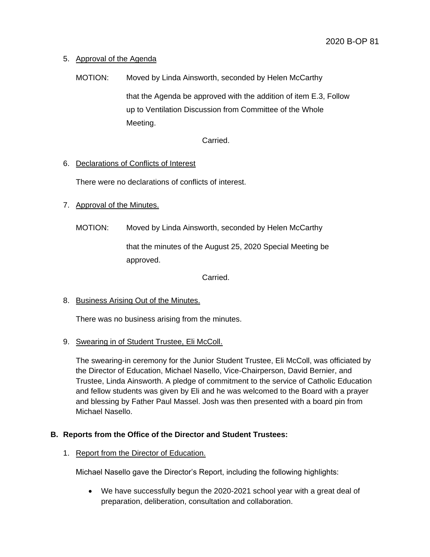## 5. Approval of the Agenda

MOTION: Moved by Linda Ainsworth, seconded by Helen McCarthy that the Agenda be approved with the addition of item E.3, Follow up to Ventilation Discussion from Committee of the Whole Meeting.

Carried.

## 6. Declarations of Conflicts of Interest

There were no declarations of conflicts of interest.

# 7. Approval of the Minutes.

MOTION: Moved by Linda Ainsworth, seconded by Helen McCarthy

that the minutes of the August 25, 2020 Special Meeting be approved.

Carried.

## 8. Business Arising Out of the Minutes.

There was no business arising from the minutes.

## 9. Swearing in of Student Trustee, Eli McColl.

The swearing-in ceremony for the Junior Student Trustee, Eli McColl, was officiated by the Director of Education, Michael Nasello, Vice-Chairperson, David Bernier, and Trustee, Linda Ainsworth. A pledge of commitment to the service of Catholic Education and fellow students was given by Eli and he was welcomed to the Board with a prayer and blessing by Father Paul Massel. Josh was then presented with a board pin from Michael Nasello.

# **B. Reports from the Office of the Director and Student Trustees:**

## 1. Report from the Director of Education.

Michael Nasello gave the Director's Report, including the following highlights:

 We have successfully begun the 2020-2021 school year with a great deal of preparation, deliberation, consultation and collaboration.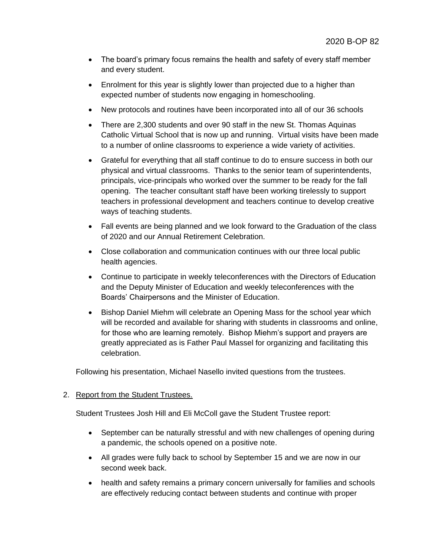- The board's primary focus remains the health and safety of every staff member and every student.
- Enrolment for this year is slightly lower than projected due to a higher than expected number of students now engaging in homeschooling.
- New protocols and routines have been incorporated into all of our 36 schools
- There are 2,300 students and over 90 staff in the new St. Thomas Aquinas Catholic Virtual School that is now up and running. Virtual visits have been made to a number of online classrooms to experience a wide variety of activities.
- Grateful for everything that all staff continue to do to ensure success in both our physical and virtual classrooms. Thanks to the senior team of superintendents, principals, vice-principals who worked over the summer to be ready for the fall opening. The teacher consultant staff have been working tirelessly to support teachers in professional development and teachers continue to develop creative ways of teaching students.
- Fall events are being planned and we look forward to the Graduation of the class of 2020 and our Annual Retirement Celebration.
- Close collaboration and communication continues with our three local public health agencies.
- Continue to participate in weekly teleconferences with the Directors of Education and the Deputy Minister of Education and weekly teleconferences with the Boards' Chairpersons and the Minister of Education.
- Bishop Daniel Miehm will celebrate an Opening Mass for the school year which will be recorded and available for sharing with students in classrooms and online, for those who are learning remotely. Bishop Miehm's support and prayers are greatly appreciated as is Father Paul Massel for organizing and facilitating this celebration.

Following his presentation, Michael Nasello invited questions from the trustees.

## 2. Report from the Student Trustees.

Student Trustees Josh Hill and Eli McColl gave the Student Trustee report:

- September can be naturally stressful and with new challenges of opening during a pandemic, the schools opened on a positive note.
- All grades were fully back to school by September 15 and we are now in our second week back.
- health and safety remains a primary concern universally for families and schools are effectively reducing contact between students and continue with proper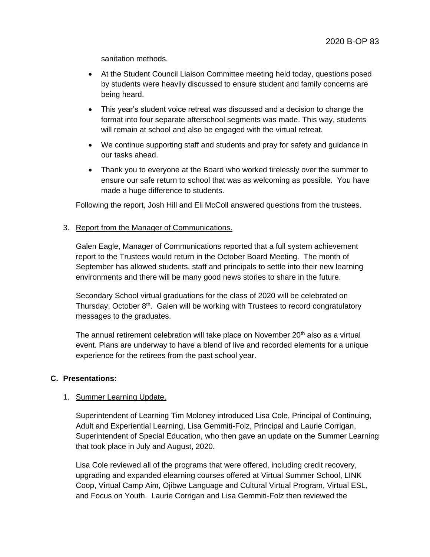sanitation methods.

- At the Student Council Liaison Committee meeting held today, questions posed by students were heavily discussed to ensure student and family concerns are being heard.
- This year's student voice retreat was discussed and a decision to change the format into four separate afterschool segments was made. This way, students will remain at school and also be engaged with the virtual retreat.
- We continue supporting staff and students and pray for safety and guidance in our tasks ahead.
- Thank you to everyone at the Board who worked tirelessly over the summer to ensure our safe return to school that was as welcoming as possible. You have made a huge difference to students.

Following the report, Josh Hill and Eli McColl answered questions from the trustees.

3. Report from the Manager of Communications.

Galen Eagle, Manager of Communications reported that a full system achievement report to the Trustees would return in the October Board Meeting. The month of September has allowed students, staff and principals to settle into their new learning environments and there will be many good news stories to share in the future.

Secondary School virtual graduations for the class of 2020 will be celebrated on Thursday, October 8<sup>th</sup>. Galen will be working with Trustees to record congratulatory messages to the graduates.

The annual retirement celebration will take place on November  $20<sup>th</sup>$  also as a virtual event. Plans are underway to have a blend of live and recorded elements for a unique experience for the retirees from the past school year.

#### **C. Presentations:**

## 1. Summer Learning Update.

Superintendent of Learning Tim Moloney introduced Lisa Cole, Principal of Continuing, Adult and Experiential Learning, Lisa Gemmiti-Folz, Principal and Laurie Corrigan, Superintendent of Special Education, who then gave an update on the Summer Learning that took place in July and August, 2020.

Lisa Cole reviewed all of the programs that were offered, including credit recovery, upgrading and expanded elearning courses offered at Virtual Summer School, LINK Coop, Virtual Camp Aim, Ojibwe Language and Cultural Virtual Program, Virtual ESL, and Focus on Youth. Laurie Corrigan and Lisa Gemmiti-Folz then reviewed the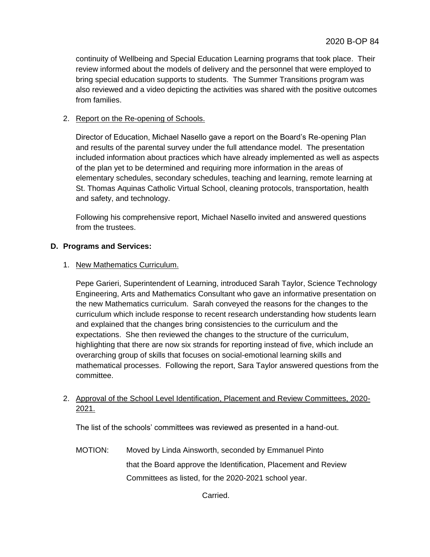continuity of Wellbeing and Special Education Learning programs that took place. Their review informed about the models of delivery and the personnel that were employed to bring special education supports to students. The Summer Transitions program was also reviewed and a video depicting the activities was shared with the positive outcomes from families.

## 2. Report on the Re-opening of Schools.

Director of Education, Michael Nasello gave a report on the Board's Re-opening Plan and results of the parental survey under the full attendance model. The presentation included information about practices which have already implemented as well as aspects of the plan yet to be determined and requiring more information in the areas of elementary schedules, secondary schedules, teaching and learning, remote learning at St. Thomas Aquinas Catholic Virtual School, cleaning protocols, transportation, health and safety, and technology.

Following his comprehensive report, Michael Nasello invited and answered questions from the trustees.

## **D. Programs and Services:**

### 1. New Mathematics Curriculum.

Pepe Garieri, Superintendent of Learning, introduced Sarah Taylor, Science Technology Engineering, Arts and Mathematics Consultant who gave an informative presentation on the new Mathematics curriculum. Sarah conveyed the reasons for the changes to the curriculum which include response to recent research understanding how students learn and explained that the changes bring consistencies to the curriculum and the expectations. She then reviewed the changes to the structure of the curriculum, highlighting that there are now six strands for reporting instead of five, which include an overarching group of skills that focuses on social-emotional learning skills and mathematical processes. Following the report, Sara Taylor answered questions from the committee.

# 2. Approval of the School Level Identification, Placement and Review Committees, 2020- 2021.

The list of the schools' committees was reviewed as presented in a hand-out.

MOTION: Moved by Linda Ainsworth, seconded by Emmanuel Pinto that the Board approve the Identification, Placement and Review Committees as listed, for the 2020-2021 school year.

Carried.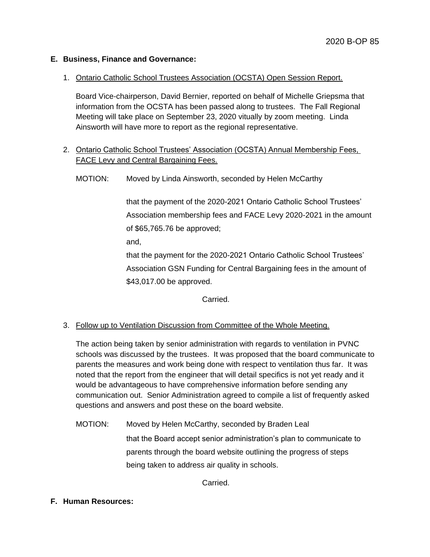### **E. Business, Finance and Governance:**

### 1. Ontario Catholic School Trustees Association (OCSTA) Open Session Report.

Board Vice-chairperson, David Bernier, reported on behalf of Michelle Griepsma that information from the OCSTA has been passed along to trustees. The Fall Regional Meeting will take place on September 23, 2020 vitually by zoom meeting. Linda Ainsworth will have more to report as the regional representative.

# 2. Ontario Catholic School Trustees' Association (OCSTA) Annual Membership Fees, FACE Levy and Central Bargaining Fees.

MOTION: Moved by Linda Ainsworth, seconded by Helen McCarthy

that the payment of the 2020-2021 Ontario Catholic School Trustees' Association membership fees and FACE Levy 2020-2021 in the amount of \$65,765.76 be approved;

and,

that the payment for the 2020-2021 Ontario Catholic School Trustees' Association GSN Funding for Central Bargaining fees in the amount of \$43,017.00 be approved.

Carried.

## 3. Follow up to Ventilation Discussion from Committee of the Whole Meeting.

The action being taken by senior administration with regards to ventilation in PVNC schools was discussed by the trustees. It was proposed that the board communicate to parents the measures and work being done with respect to ventilation thus far. It was noted that the report from the engineer that will detail specifics is not yet ready and it would be advantageous to have comprehensive information before sending any communication out. Senior Administration agreed to compile a list of frequently asked questions and answers and post these on the board website.

MOTION: Moved by Helen McCarthy, seconded by Braden Leal that the Board accept senior administration's plan to communicate to parents through the board website outlining the progress of steps being taken to address air quality in schools.

Carried.

## **F. Human Resources:**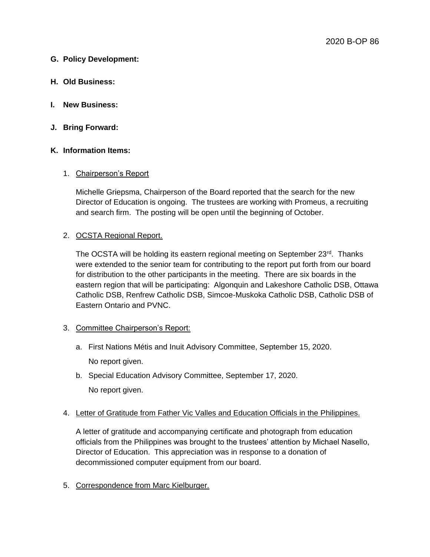### **G. Policy Development:**

- **H. Old Business:**
- **I. New Business:**
- **J. Bring Forward:**

### **K. Information Items:**

### 1. Chairperson's Report

Michelle Griepsma, Chairperson of the Board reported that the search for the new Director of Education is ongoing. The trustees are working with Promeus, a recruiting and search firm. The posting will be open until the beginning of October.

### 2. OCSTA Regional Report.

The OCSTA will be holding its eastern regional meeting on September  $23<sup>rd</sup>$ . Thanks were extended to the senior team for contributing to the report put forth from our board for distribution to the other participants in the meeting. There are six boards in the eastern region that will be participating: Algonquin and Lakeshore Catholic DSB, Ottawa Catholic DSB, Renfrew Catholic DSB, Simcoe-Muskoka Catholic DSB, Catholic DSB of Eastern Ontario and PVNC.

#### 3. Committee Chairperson's Report:

- a. First Nations Métis and Inuit Advisory Committee, September 15, 2020. No report given.
- b. Special Education Advisory Committee, September 17, 2020. No report given.

#### 4. Letter of Gratitude from Father Vic Valles and Education Officials in the Philippines.

A letter of gratitude and accompanying certificate and photograph from education officials from the Philippines was brought to the trustees' attention by Michael Nasello, Director of Education. This appreciation was in response to a donation of decommissioned computer equipment from our board.

5. Correspondence from Marc Kielburger.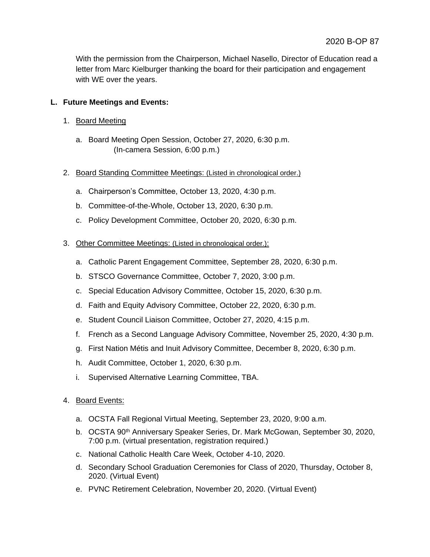With the permission from the Chairperson, Michael Nasello, Director of Education read a letter from Marc Kielburger thanking the board for their participation and engagement with WE over the years.

# **L. Future Meetings and Events:**

- 1. Board Meeting
	- a. Board Meeting Open Session, October 27, 2020, 6:30 p.m. (In-camera Session, 6:00 p.m.)
- 2. Board Standing Committee Meetings: (Listed in chronological order.)
	- a. Chairperson's Committee, October 13, 2020, 4:30 p.m.
	- b. Committee-of-the-Whole, October 13, 2020, 6:30 p.m.
	- c. Policy Development Committee, October 20, 2020, 6:30 p.m.
- 3. Other Committee Meetings: (Listed in chronological order.):
	- a. Catholic Parent Engagement Committee, September 28, 2020, 6:30 p.m.
	- b. STSCO Governance Committee, October 7, 2020, 3:00 p.m.
	- c. Special Education Advisory Committee, October 15, 2020, 6:30 p.m.
	- d. Faith and Equity Advisory Committee, October 22, 2020, 6:30 p.m.
	- e. Student Council Liaison Committee, October 27, 2020, 4:15 p.m.
	- f. French as a Second Language Advisory Committee, November 25, 2020, 4:30 p.m.
	- g. First Nation Métis and Inuit Advisory Committee, December 8, 2020, 6:30 p.m.
	- h. Audit Committee, October 1, 2020, 6:30 p.m.
	- i. Supervised Alternative Learning Committee, TBA.
- 4. Board Events:
	- a. OCSTA Fall Regional Virtual Meeting, September 23, 2020, 9:00 a.m.
	- b. OCSTA 90<sup>th</sup> Anniversary Speaker Series, Dr. Mark McGowan, September 30, 2020, 7:00 p.m. (virtual presentation, registration required.)
	- c. National Catholic Health Care Week, October 4-10, 2020.
	- d. Secondary School Graduation Ceremonies for Class of 2020, Thursday, October 8, 2020. (Virtual Event)
	- e. PVNC Retirement Celebration, November 20, 2020. (Virtual Event)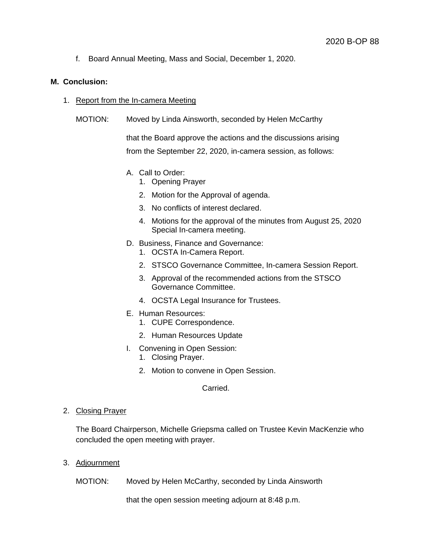f. Board Annual Meeting, Mass and Social, December 1, 2020.

### **M. Conclusion:**

- 1. Report from the In-camera Meeting
	- MOTION: Moved by Linda Ainsworth, seconded by Helen McCarthy

that the Board approve the actions and the discussions arising from the September 22, 2020, in-camera session, as follows:

- A. Call to Order:
	- 1. Opening Prayer
	- 2. Motion for the Approval of agenda.
	- 3. No conflicts of interest declared.
	- 4. Motions for the approval of the minutes from August 25, 2020 Special In-camera meeting.
- D. Business, Finance and Governance:
	- 1. OCSTA In-Camera Report.
	- 2. STSCO Governance Committee, In-camera Session Report.
	- 3. Approval of the recommended actions from the STSCO Governance Committee.
	- 4. OCSTA Legal Insurance for Trustees.
- E. Human Resources:
	- 1. CUPE Correspondence.
	- 2. Human Resources Update
- I. Convening in Open Session:
	- 1. Closing Prayer.
	- 2. Motion to convene in Open Session.

Carried.

2. Closing Prayer

The Board Chairperson, Michelle Griepsma called on Trustee Kevin MacKenzie who concluded the open meeting with prayer.

3. Adjournment

MOTION: Moved by Helen McCarthy, seconded by Linda Ainsworth

that the open session meeting adjourn at 8:48 p.m.